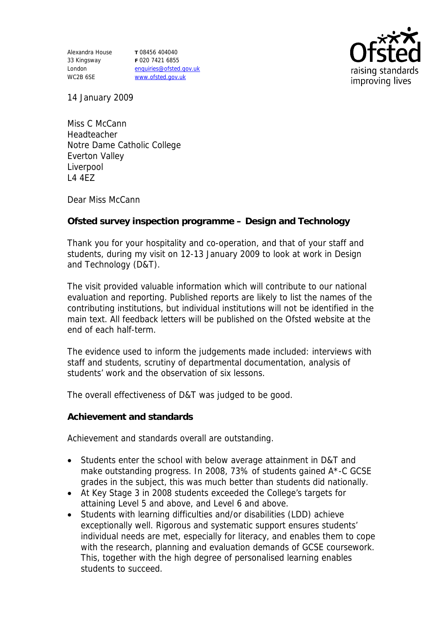Alexandra House 33 Kingsway London WC2B 6SE

**T** 08456 404040 **F** 020 7421 6855 enquiries@ofsted.gov.uk www.ofsted.gov.uk



14 January 2009

Miss C McCann Headteacher Notre Dame Catholic College Everton Valley Liverpool L4 4EZ

Dear Miss McCann

**Ofsted survey inspection programme – Design and Technology** 

Thank you for your hospitality and co-operation, and that of your staff and students, during my visit on 12-13 January 2009 to look at work in Design and Technology (D&T).

The visit provided valuable information which will contribute to our national evaluation and reporting. Published reports are likely to list the names of the contributing institutions, but individual institutions will not be identified in the main text. All feedback letters will be published on the Ofsted website at the end of each half-term.

The evidence used to inform the judgements made included: interviews with staff and students, scrutiny of departmental documentation, analysis of students' work and the observation of six lessons.

The overall effectiveness of D&T was judged to be good.

**Achievement and standards**

Achievement and standards overall are outstanding.

- Students enter the school with below average attainment in D&T and make outstanding progress. In 2008, 73% of students gained A\*-C GCSE grades in the subject, this was much better than students did nationally.
- At Key Stage 3 in 2008 students exceeded the College's targets for attaining Level 5 and above, and Level 6 and above.
- Students with learning difficulties and/or disabilities (LDD) achieve exceptionally well. Rigorous and systematic support ensures students' individual needs are met, especially for literacy, and enables them to cope with the research, planning and evaluation demands of GCSE coursework. This, together with the high degree of personalised learning enables students to succeed.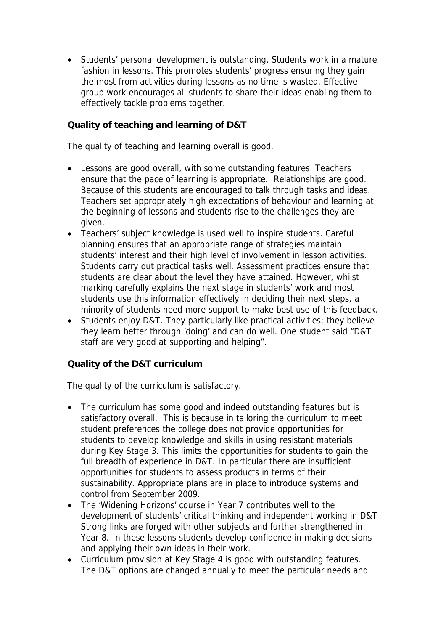Students' personal development is outstanding. Students work in a mature fashion in lessons. This promotes students' progress ensuring they gain the most from activities during lessons as no time is wasted. Effective group work encourages all students to share their ideas enabling them to effectively tackle problems together.

**Quality of teaching and learning of D&T**

The quality of teaching and learning overall is good.

- Lessons are good overall, with some outstanding features. Teachers ensure that the pace of learning is appropriate. Relationships are good. Because of this students are encouraged to talk through tasks and ideas. Teachers set appropriately high expectations of behaviour and learning at the beginning of lessons and students rise to the challenges they are given.
- Teachers' subject knowledge is used well to inspire students. Careful planning ensures that an appropriate range of strategies maintain students' interest and their high level of involvement in lesson activities. Students carry out practical tasks well. Assessment practices ensure that students are clear about the level they have attained. However, whilst marking carefully explains the next stage in students' work and most students use this information effectively in deciding their next steps, a minority of students need more support to make best use of this feedback.
- Students enjoy D&T. They particularly like practical activities: they believe they learn better through 'doing' and can do well. One student said "D&T staff are very good at supporting and helping".

**Quality of the D&T curriculum** 

The quality of the curriculum is satisfactory.

- The curriculum has some good and indeed outstanding features but is satisfactory overall. This is because in tailoring the curriculum to meet student preferences the college does not provide opportunities for students to develop knowledge and skills in using resistant materials during Key Stage 3. This limits the opportunities for students to gain the full breadth of experience in D&T. In particular there are insufficient opportunities for students to assess products in terms of their sustainability. Appropriate plans are in place to introduce systems and control from September 2009.
- The 'Widening Horizons' course in Year 7 contributes well to the development of students' critical thinking and independent working in D&T Strong links are forged with other subjects and further strengthened in Year 8. In these lessons students develop confidence in making decisions and applying their own ideas in their work.
- Curriculum provision at Key Stage 4 is good with outstanding features. The D&T options are changed annually to meet the particular needs and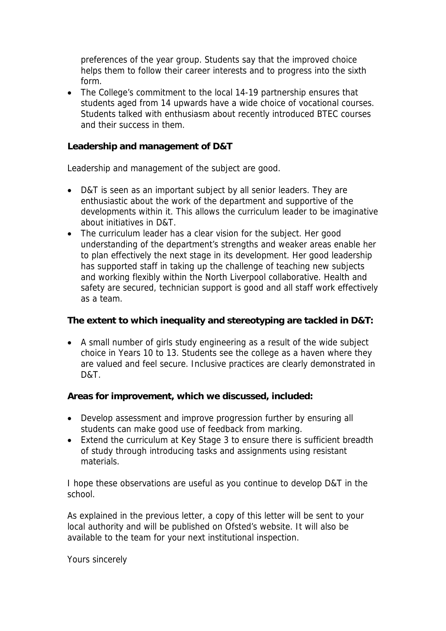preferences of the year group. Students say that the improved choice helps them to follow their career interests and to progress into the sixth form.

• The College's commitment to the local 14-19 partnership ensures that students aged from 14 upwards have a wide choice of vocational courses. Students talked with enthusiasm about recently introduced BTEC courses and their success in them.

**Leadership and management of D&T**

Leadership and management of the subject are good.

- D&T is seen as an important subject by all senior leaders. They are enthusiastic about the work of the department and supportive of the developments within it. This allows the curriculum leader to be imaginative about initiatives in D&T.
- The curriculum leader has a clear vision for the subject. Her good understanding of the department's strengths and weaker areas enable her to plan effectively the next stage in its development. Her good leadership has supported staff in taking up the challenge of teaching new subjects and working flexibly within the North Liverpool collaborative. Health and safety are secured, technician support is good and all staff work effectively as a team.

**The extent to which inequality and stereotyping are tackled in D&T:**

 A small number of girls study engineering as a result of the wide subject choice in Years 10 to 13. Students see the college as a haven where they are valued and feel secure. Inclusive practices are clearly demonstrated in D&T.

**Areas for improvement, which we discussed, included:**

- Develop assessment and improve progression further by ensuring all students can make good use of feedback from marking.
- Extend the curriculum at Key Stage 3 to ensure there is sufficient breadth of study through introducing tasks and assignments using resistant materials.

I hope these observations are useful as you continue to develop D&T in the school.

As explained in the previous letter, a copy of this letter will be sent to your local authority and will be published on Ofsted's website. It will also be available to the team for your next institutional inspection.

Yours sincerely